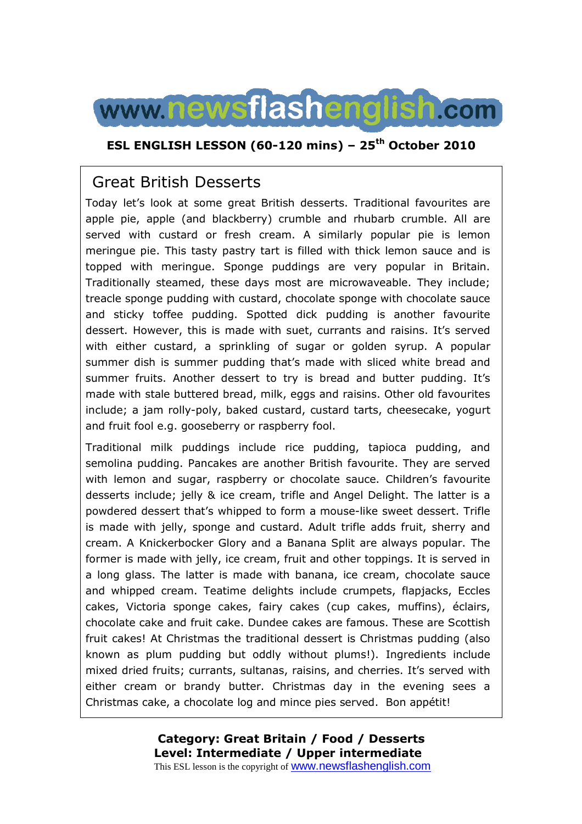

### **ESL ENGLISH LESSON (60-120 mins) – 25th October 2010**

## Great British Desserts

Today let's look at some great British desserts. Traditional favourites are apple pie, apple (and blackberry) crumble and rhubarb crumble. All are served with custard or fresh cream. A similarly popular pie is lemon meringue pie. This tasty pastry tart is filled with thick lemon sauce and is topped with meringue. Sponge puddings are very popular in Britain. Traditionally steamed, these days most are microwaveable. They include; treacle sponge pudding with custard, chocolate sponge with chocolate sauce and sticky toffee pudding. Spotted dick pudding is another favourite dessert. However, this is made with suet, currants and raisins. It's served with either custard, a sprinkling of sugar or golden syrup. A popular summer dish is summer pudding that's made with sliced white bread and summer fruits. Another dessert to try is bread and butter pudding. It's made with stale buttered bread, milk, eggs and raisins. Other old favourites include; a jam rolly-poly, baked custard, custard tarts, cheesecake, yogurt and fruit fool e.g. gooseberry or raspberry fool.

Traditional milk puddings include rice pudding, tapioca pudding, and semolina pudding. Pancakes are another British favourite. They are served with lemon and sugar, raspberry or chocolate sauce. Children's favourite desserts include; jelly & ice cream, trifle and Angel Delight. The latter is a powdered dessert that's whipped to form a mouse-like sweet dessert. Trifle is made with jelly, sponge and custard. Adult trifle adds fruit, sherry and cream. A Knickerbocker Glory and a Banana Split are always popular. The former is made with jelly, ice cream, fruit and other toppings. It is served in a long glass. The latter is made with banana, ice cream, chocolate sauce and whipped cream. Teatime delights include crumpets, flapjacks, Eccles cakes, Victoria sponge cakes, fairy cakes (cup cakes, muffins), éclairs, chocolate cake and fruit cake. Dundee cakes are famous. These are Scottish fruit cakes! At Christmas the traditional dessert is Christmas pudding (also known as plum pudding but oddly without plums!). Ingredients include mixed dried fruits; currants, sultanas, raisins, and cherries. It's served with either cream or brandy butter. Christmas day in the evening sees a Christmas cake, a chocolate log and mince pies served. Bon appétit!

> **Category: Great Britain / Food / Desserts Level: Intermediate / Upper intermediate** This ESL lesson is the copyright of **WWW.newsflashenglish.com**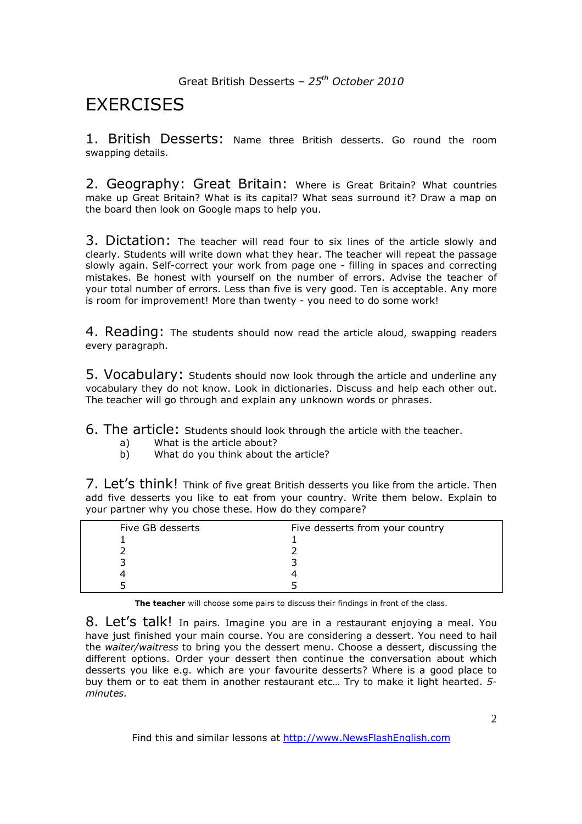Great British Desserts – *25th October 2010*

# **FXFRCISES**

1. British Desserts: Name three British desserts. Go round the room swapping details.

2. Geography: Great Britain: Where is Great Britain? What countries make up Great Britain? What is its capital? What seas surround it? Draw a map on the board then look on Google maps to help you.

3. Dictation: The teacher will read four to six lines of the article slowly and clearly. Students will write down what they hear. The teacher will repeat the passage slowly again. Self-correct your work from page one - filling in spaces and correcting mistakes. Be honest with yourself on the number of errors. Advise the teacher of your total number of errors. Less than five is very good. Ten is acceptable. Any more is room for improvement! More than twenty - you need to do some work!

4. Reading: The students should now read the article aloud, swapping readers every paragraph.

5. Vocabulary: Students should now look through the article and underline any vocabulary they do not know. Look in dictionaries. Discuss and help each other out. The teacher will go through and explain any unknown words or phrases.

6. The article: Students should look through the article with the teacher.

- a) What is the article about?<br>b) What do you think about t
- What do you think about the article?

7. Let's think! Think of five great British desserts you like from the article. Then add five desserts you like to eat from your country. Write them below. Explain to your partner why you chose these. How do they compare?

| Five GB desserts | Five desserts from your country |
|------------------|---------------------------------|
|                  |                                 |
|                  |                                 |
|                  |                                 |
|                  |                                 |
|                  |                                 |

**The teacher** will choose some pairs to discuss their findings in front of the class.

8. Let's talk! In pairs. Imagine you are in a restaurant enjoying a meal. You have just finished your main course. You are considering a dessert. You need to hail the *waiter/waitress* to bring you the dessert menu. Choose a dessert, discussing the different options. Order your dessert then continue the conversation about which desserts you like e.g. which are your favourite desserts? Where is a good place to buy them or to eat them in another restaurant etc… Try to make it light hearted. *5 minutes.*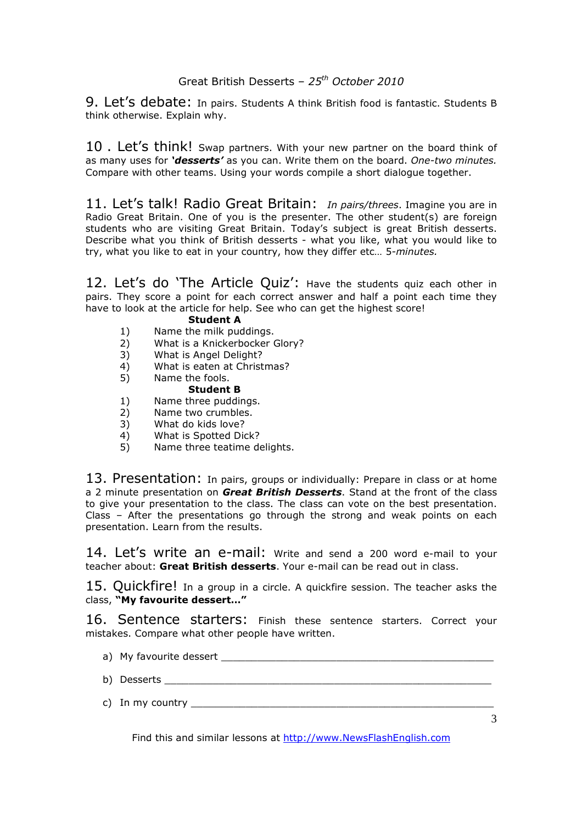### Great British Desserts – *25th October 2010*

9. Let's debate: In pairs. Students A think British food is fantastic. Students B think otherwise. Explain why.

10. Let's think! Swap partners. With your new partner on the board think of as many uses for *'desserts'* as you can. Write them on the board. *One-two minutes.*  Compare with other teams. Using your words compile a short dialogue together.

11. Let's talk! Radio Great Britain: *In pairs/threes*. Imagine you are in Radio Great Britain. One of you is the presenter. The other student(s) are foreign students who are visiting Great Britain. Today's subject is great British desserts. Describe what you think of British desserts - what you like, what you would like to try, what you like to eat in your country, how they differ etc… 5*-minutes.* 

12. Let's do 'The Article Quiz': Have the students quiz each other in pairs. They score a point for each correct answer and half a point each time they have to look at the article for help. See who can get the highest score!

#### **Student A**

- 1) Name the milk puddings.
- 2) What is a Knickerbocker Glory?
- 3) What is Angel Delight?
- 4) What is eaten at Christmas?
- 5) Name the fools.

#### **Student B**

- 1) Name three puddings.
- 2) Name two crumbles.
- 3) What do kids love?
- 4) What is Spotted Dick?<br>5) Name three teatime de
- Name three teatime delights.

13. Presentation: In pairs, groups or individually: Prepare in class or at home a 2 minute presentation on *Great British Desserts*. Stand at the front of the class to give your presentation to the class. The class can vote on the best presentation. Class – After the presentations go through the strong and weak points on each presentation. Learn from the results.

14. Let's write an e-mail: Write and send a 200 word e-mail to your teacher about: **Great British desserts**. Your e-mail can be read out in class.

15. Quickfire! In a group in a circle. A quickfire session. The teacher asks the class, **"My favourite dessert…"**

16. Sentence starters: Finish these sentence starters. Correct your mistakes. Compare what other people have written.

- a) My favourite dessert
- b) Desserts
- c) In my country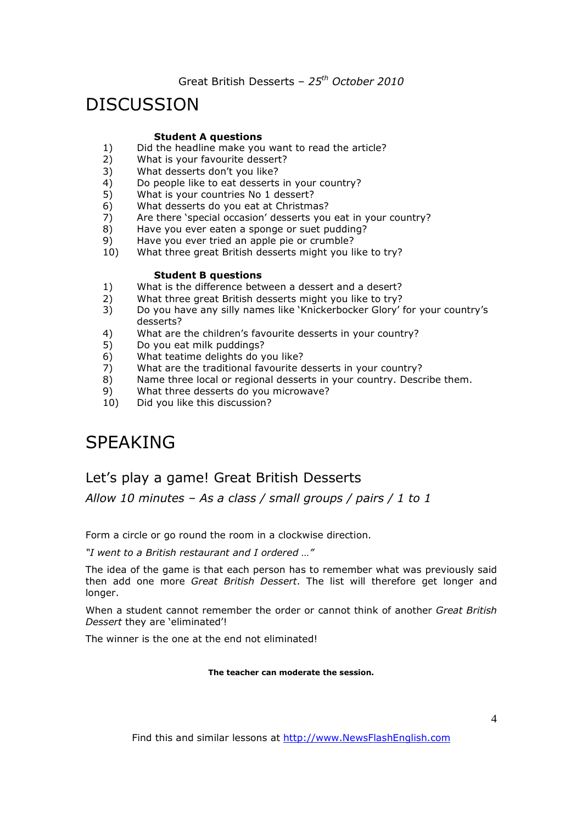Great British Desserts – *25th October 2010*

# DISCUSSION

#### **Student A questions**

- 1) Did the headline make you want to read the article?<br>2) What is your favourite dessert?
- What is your favourite dessert?
- 3) What desserts don't you like?
- 4) Do people like to eat desserts in your country?
- 5) What is your countries No 1 dessert?
- 6) What desserts do you eat at Christmas?
- 7) Are there 'special occasion' desserts you eat in your country?
- 8) Have you ever eaten a sponge or suet pudding?
- 9) Have you ever tried an apple pie or crumble?
- 10) What three great British desserts might you like to try?

#### **Student B questions**

- 1) What is the difference between a dessert and a desert?
- 2) What three great British desserts might you like to try?
- 3) Do you have any silly names like 'Knickerbocker Glory' for your country's desserts?
- 4) What are the children's favourite desserts in your country?
- 5) Do you eat milk puddings?
- 6) What teatime delights do you like?
- 7) What are the traditional favourite desserts in your country?
- 8) Name three local or regional desserts in your country. Describe them.
- 9) What three desserts do you microwave?
- 10) Did you like this discussion?

# SPEAKING

### Let's play a game! Great British Desserts

*Allow 10 minutes – As a class / small groups / pairs / 1 to 1* 

Form a circle or go round the room in a clockwise direction.

*"I went to a British restaurant and I ordered …"* 

The idea of the game is that each person has to remember what was previously said then add one more *Great British Dessert*. The list will therefore get longer and longer.

When a student cannot remember the order or cannot think of another *Great British Dessert* they are 'eliminated'!

The winner is the one at the end not eliminated!

**The teacher can moderate the session.**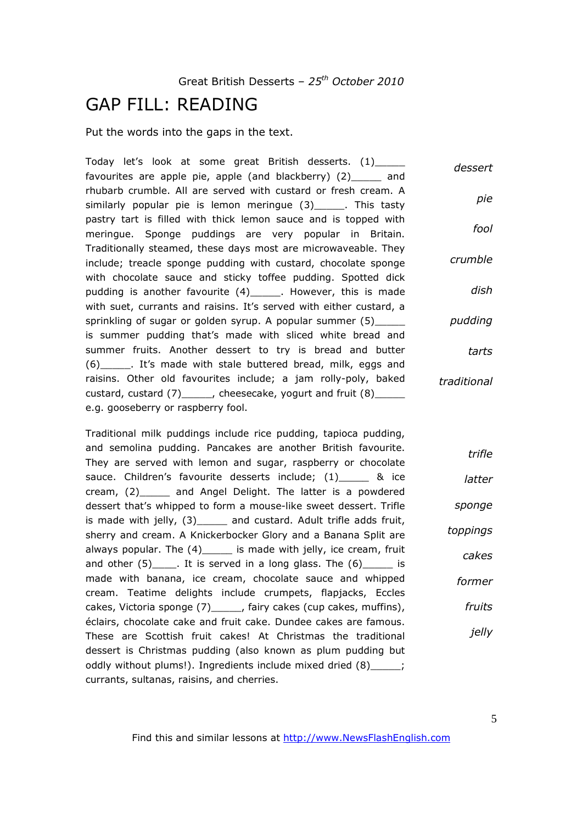## GAP FILL: READING

Put the words into the gaps in the text.

Today let's look at some great British desserts. (1)\_\_\_\_\_\_ favourites are apple pie, apple (and blackberry) (2)\_\_\_\_\_ and rhubarb crumble. All are served with custard or fresh cream. A similarly popular pie is lemon meringue (3)\_\_\_\_\_\_. This tasty pastry tart is filled with thick lemon sauce and is topped with meringue. Sponge puddings are very popular in Britain. Traditionally steamed, these days most are microwaveable. They include; treacle sponge pudding with custard, chocolate sponge with chocolate sauce and sticky toffee pudding. Spotted dick pudding is another favourite (4)\_\_\_\_\_\_. However, this is made with suet, currants and raisins. It's served with either custard, a sprinkling of sugar or golden syrup. A popular summer (5)\_\_\_\_\_ is summer pudding that's made with sliced white bread and summer fruits. Another dessert to try is bread and butter (6)\_\_\_\_\_. It's made with stale buttered bread, milk, eggs and raisins. Other old favourites include; a jam rolly-poly, baked custard, custard (7)\_\_\_\_\_, cheesecake, yogurt and fruit (8)\_\_\_\_ e.g. gooseberry or raspberry fool. *dessert pie fool crumble dish pudding tarts traditional*

Traditional milk puddings include rice pudding, tapioca pudding, and semolina pudding. Pancakes are another British favourite. They are served with lemon and sugar, raspberry or chocolate sauce. Children's favourite desserts include; (1)\_\_\_\_\_ & ice cream, (2)\_\_\_\_\_ and Angel Delight. The latter is a powdered dessert that's whipped to form a mouse-like sweet dessert. Trifle is made with jelly, (3)\_\_\_\_\_ and custard. Adult trifle adds fruit, sherry and cream. A Knickerbocker Glory and a Banana Split are always popular. The (4)\_\_\_\_\_ is made with jelly, ice cream, fruit and other  $(5)$  . It is served in a long glass. The  $(6)$  is made with banana, ice cream, chocolate sauce and whipped cream. Teatime delights include crumpets, flapjacks, Eccles cakes, Victoria sponge (7)\_\_\_\_\_, fairy cakes (cup cakes, muffins), éclairs, chocolate cake and fruit cake. Dundee cakes are famous. These are Scottish fruit cakes! At Christmas the traditional dessert is Christmas pudding (also known as plum pudding but oddly without plums!). Ingredients include mixed dried (8)\_\_\_\_\_; currants, sultanas, raisins, and cherries. *trifle latter sponge toppings cakes former fruits jelly*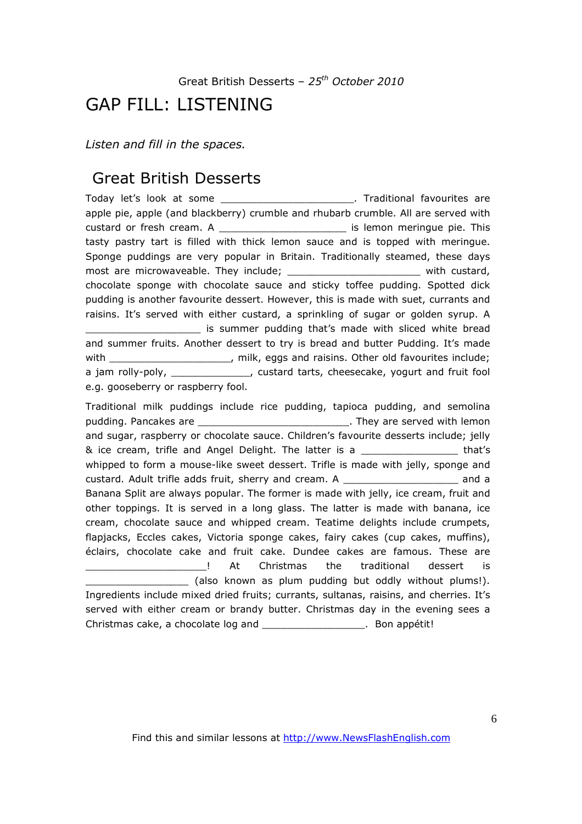## GAP FILL: LISTENING

*Listen and fill in the spaces.* 

## Great British Desserts

Today let's look at some **was allocated as a set of the set of the Traditional favourites are** apple pie, apple (and blackberry) crumble and rhubarb crumble. All are served with custard or fresh cream. A \_\_\_\_\_\_\_\_\_\_\_\_\_\_\_\_\_\_\_\_\_ is lemon meringue pie. This tasty pastry tart is filled with thick lemon sauce and is topped with meringue. Sponge puddings are very popular in Britain. Traditionally steamed, these days most are microwaveable. They include; \_\_\_\_\_\_\_\_\_\_\_\_\_\_\_\_\_\_\_\_\_\_\_\_\_\_\_\_ with custard, chocolate sponge with chocolate sauce and sticky toffee pudding. Spotted dick pudding is another favourite dessert. However, this is made with suet, currants and raisins. It's served with either custard, a sprinkling of sugar or golden syrup. A is summer pudding that's made with sliced white bread and summer fruits. Another dessert to try is bread and butter Pudding. It's made with \_\_\_\_\_\_\_\_\_\_\_\_\_\_\_\_\_\_\_\_, milk, eggs and raisins. Other old favourites include; a jam rolly-poly, \_\_\_\_\_\_\_\_\_\_\_\_\_, custard tarts, cheesecake, yogurt and fruit fool e.g. gooseberry or raspberry fool.

Traditional milk puddings include rice pudding, tapioca pudding, and semolina pudding. Pancakes are \_\_\_\_\_\_\_\_\_\_\_\_\_\_\_\_\_\_\_\_\_\_\_\_\_\_\_\_\_\_. They are served with lemon and sugar, raspberry or chocolate sauce. Children's favourite desserts include; jelly & ice cream, trifle and Angel Delight. The latter is a \_\_\_\_\_\_\_\_\_\_\_\_\_\_\_\_ that's whipped to form a mouse-like sweet dessert. Trifle is made with jelly, sponge and custard. Adult trifle adds fruit, sherry and cream. A \_\_\_\_\_\_\_\_\_\_\_\_\_\_\_\_\_\_\_ and a Banana Split are always popular. The former is made with jelly, ice cream, fruit and other toppings. It is served in a long glass. The latter is made with banana, ice cream, chocolate sauce and whipped cream. Teatime delights include crumpets, flapjacks, Eccles cakes, Victoria sponge cakes, fairy cakes (cup cakes, muffins), éclairs, chocolate cake and fruit cake. Dundee cakes are famous. These are \_\_\_\_\_\_\_\_\_\_\_\_\_\_\_\_\_\_\_\_! At Christmas the traditional dessert is \_\_\_\_\_\_\_\_\_\_\_\_\_\_\_\_\_ (also known as plum pudding but oddly without plums!). Ingredients include mixed dried fruits; currants, sultanas, raisins, and cherries. It's served with either cream or brandy butter. Christmas day in the evening sees a Christmas cake, a chocolate log and \_\_\_\_\_\_\_\_\_\_\_\_\_\_\_\_\_. Bon appétit!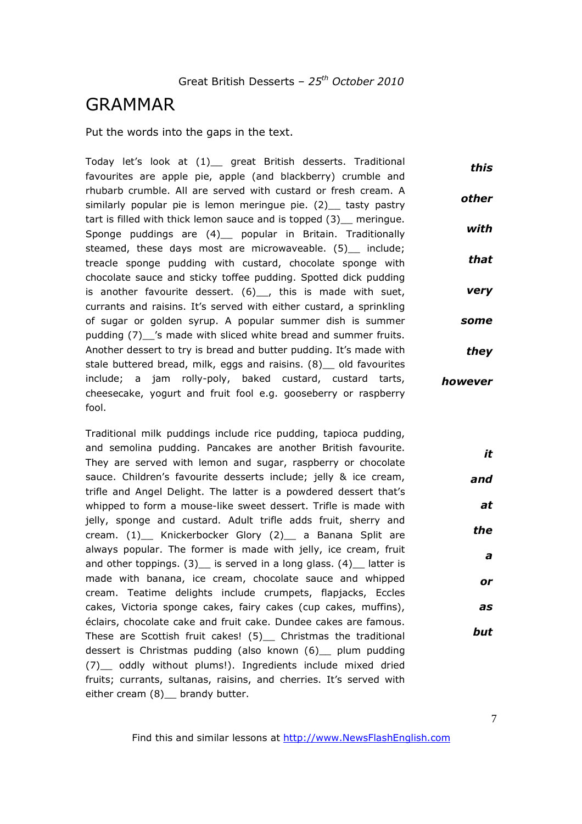## GRAMMAR

Put the words into the gaps in the text.

Today let's look at (1) great British desserts. Traditional favourites are apple pie, apple (and blackberry) crumble and rhubarb crumble. All are served with custard or fresh cream. A similarly popular pie is lemon meringue pie. (2) tasty pastry tart is filled with thick lemon sauce and is topped (3)\_\_ meringue. Sponge puddings are (4) popular in Britain. Traditionally steamed, these days most are microwaveable. (5) include; treacle sponge pudding with custard, chocolate sponge with chocolate sauce and sticky toffee pudding. Spotted dick pudding is another favourite dessert. (6), this is made with suet, currants and raisins. It's served with either custard, a sprinkling of sugar or golden syrup. A popular summer dish is summer pudding (7) 's made with sliced white bread and summer fruits. Another dessert to try is bread and butter pudding. It's made with stale buttered bread, milk, eggs and raisins. (8) old favourites include; a jam rolly-poly, baked custard, custard tarts, cheesecake, yogurt and fruit fool e.g. gooseberry or raspberry fool. *this other with that very some they however*

Traditional milk puddings include rice pudding, tapioca pudding, and semolina pudding. Pancakes are another British favourite. They are served with lemon and sugar, raspberry or chocolate sauce. Children's favourite desserts include; jelly & ice cream, trifle and Angel Delight. The latter is a powdered dessert that's whipped to form a mouse-like sweet dessert. Trifle is made with jelly, sponge and custard. Adult trifle adds fruit, sherry and cream. (1)\_\_ Knickerbocker Glory (2)\_\_ a Banana Split are always popular. The former is made with jelly, ice cream, fruit and other toppings.  $(3)$  is served in a long glass.  $(4)$  latter is made with banana, ice cream, chocolate sauce and whipped cream. Teatime delights include crumpets, flapjacks, Eccles cakes, Victoria sponge cakes, fairy cakes (cup cakes, muffins), éclairs, chocolate cake and fruit cake. Dundee cakes are famous. These are Scottish fruit cakes! (5) Christmas the traditional dessert is Christmas pudding (also known (6)\_\_ plum pudding (7)\_\_ oddly without plums!). Ingredients include mixed dried fruits; currants, sultanas, raisins, and cherries. It's served with either cream (8) brandy butter. *and the but*

Find this and similar lessons at http://www.NewsFlashEnglish.com

*it*

*at*

*a*

*or*

*as*